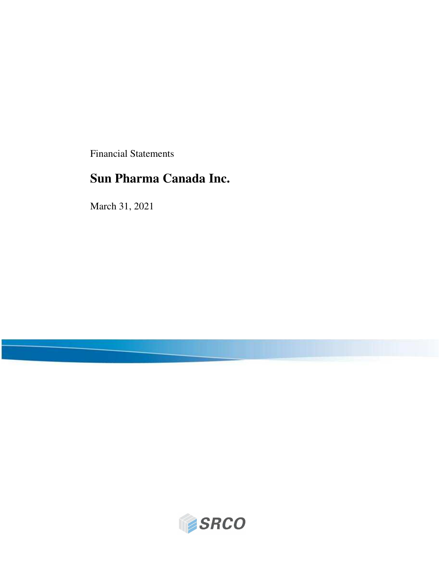Financial Statements

# **Sun Pharma Canada Inc.**

March 31, 2021

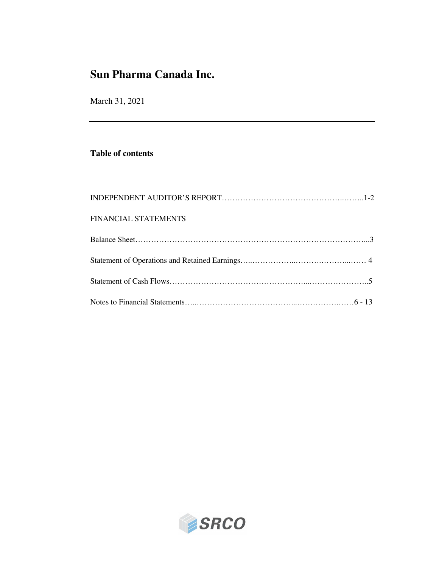# **Sun Pharma Canada Inc.**

March 31, 2021

### **Table of contents**

| FINANCIAL STATEMENTS |
|----------------------|
|                      |
|                      |
|                      |
|                      |

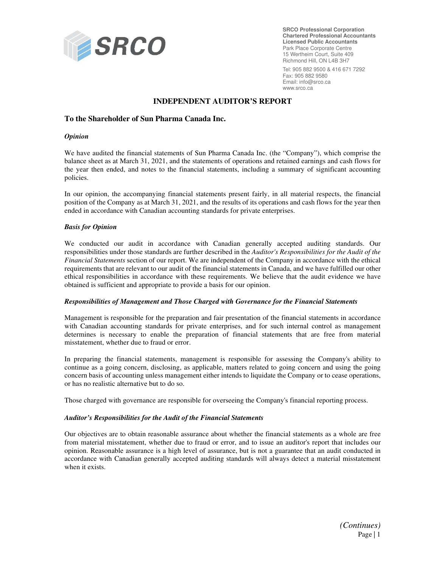

**SRCO Professional Corporation Chartered Professional Accountants Licensed Public Accountants**  Park Place Corporate Centre 15 Wertheim Court, Suite 409 Richmond Hill, ON L4B 3H7

Tel: 905 882 9500 & 416 671 7292 Fax: 905 882 9580 Email: info@srco.ca www.srco.ca

#### **INDEPENDENT AUDITOR'S REPORT**

#### **To the Shareholder of Sun Pharma Canada Inc.**

#### *Opinion*

We have audited the financial statements of Sun Pharma Canada Inc. (the "Company"), which comprise the balance sheet as at March 31, 2021, and the statements of operations and retained earnings and cash flows for the year then ended, and notes to the financial statements, including a summary of significant accounting policies.

In our opinion, the accompanying financial statements present fairly, in all material respects, the financial position of the Company as at March 31, 2021, and the results of its operations and cash flows for the year then ended in accordance with Canadian accounting standards for private enterprises.

#### *Basis for Opinion*

We conducted our audit in accordance with Canadian generally accepted auditing standards. Our responsibilities under those standards are further described in the *Auditor's Responsibilities for the Audit of the Financial Statements* section of our report. We are independent of the Company in accordance with the ethical requirements that are relevant to our audit of the financial statements in Canada, and we have fulfilled our other ethical responsibilities in accordance with these requirements. We believe that the audit evidence we have obtained is sufficient and appropriate to provide a basis for our opinion.

#### *Responsibilities of Management and Those Charged with Governance for the Financial Statements*

Management is responsible for the preparation and fair presentation of the financial statements in accordance with Canadian accounting standards for private enterprises, and for such internal control as management determines is necessary to enable the preparation of financial statements that are free from material misstatement, whether due to fraud or error.

In preparing the financial statements, management is responsible for assessing the Company's ability to continue as a going concern, disclosing, as applicable, matters related to going concern and using the going concern basis of accounting unless management either intends to liquidate the Company or to cease operations, or has no realistic alternative but to do so.

Those charged with governance are responsible for overseeing the Company's financial reporting process.

#### *Auditor's Responsibilities for the Audit of the Financial Statements*

Our objectives are to obtain reasonable assurance about whether the financial statements as a whole are free from material misstatement, whether due to fraud or error, and to issue an auditor's report that includes our opinion. Reasonable assurance is a high level of assurance, but is not a guarantee that an audit conducted in accordance with Canadian generally accepted auditing standards will always detect a material misstatement when it exists.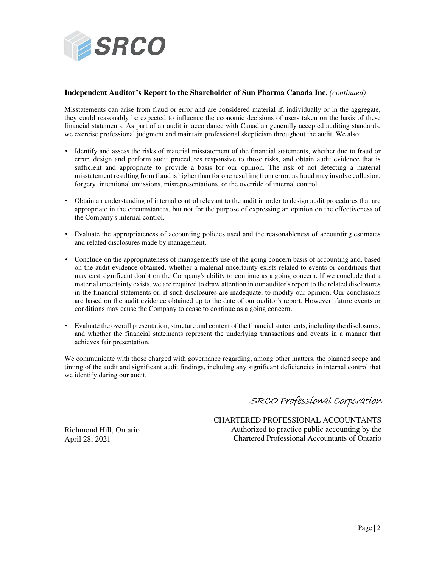

#### **Independent Auditor's Report to the Shareholder of Sun Pharma Canada Inc.** *(continued)*

Misstatements can arise from fraud or error and are considered material if, individually or in the aggregate, they could reasonably be expected to influence the economic decisions of users taken on the basis of these financial statements. As part of an audit in accordance with Canadian generally accepted auditing standards, we exercise professional judgment and maintain professional skepticism throughout the audit. We also:

- Identify and assess the risks of material misstatement of the financial statements, whether due to fraud or error, design and perform audit procedures responsive to those risks, and obtain audit evidence that is sufficient and appropriate to provide a basis for our opinion. The risk of not detecting a material misstatement resulting from fraud is higher than for one resulting from error, as fraud may involve collusion, forgery, intentional omissions, misrepresentations, or the override of internal control.
- Obtain an understanding of internal control relevant to the audit in order to design audit procedures that are appropriate in the circumstances, but not for the purpose of expressing an opinion on the effectiveness of the Company's internal control.
- Evaluate the appropriateness of accounting policies used and the reasonableness of accounting estimates and related disclosures made by management.
- Conclude on the appropriateness of management's use of the going concern basis of accounting and, based on the audit evidence obtained, whether a material uncertainty exists related to events or conditions that may cast significant doubt on the Company's ability to continue as a going concern. If we conclude that a material uncertainty exists, we are required to draw attention in our auditor's report to the related disclosures in the financial statements or, if such disclosures are inadequate, to modify our opinion. Our conclusions are based on the audit evidence obtained up to the date of our auditor's report. However, future events or conditions may cause the Company to cease to continue as a going concern.
- Evaluate the overall presentation, structure and content of the financial statements, including the disclosures, and whether the financial statements represent the underlying transactions and events in a manner that achieves fair presentation.

We communicate with those charged with governance regarding, among other matters, the planned scope and timing of the audit and significant audit findings, including any significant deficiencies in internal control that we identify during our audit.

SRCO Professional Corporation

 CHARTERED PROFESSIONAL ACCOUNTANTS Authorized to practice public accounting by the Chartered Professional Accountants of Ontario

Richmond Hill, Ontario April 28, 2021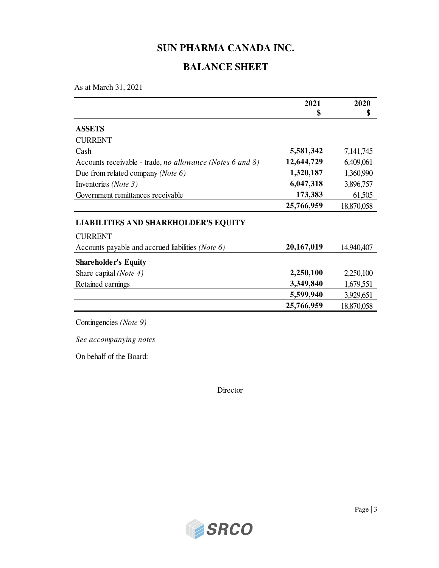# **BALANCE SHEET**

As at March 31, 2021

| 2021       | 2020       |
|------------|------------|
| \$         | \$         |
|            |            |
|            |            |
| 5,581,342  | 7,141,745  |
| 12,644,729 | 6,409,061  |
| 1,320,187  | 1,360,990  |
| 6,047,318  | 3,896,757  |
| 173,383    | 61,505     |
| 25,766,959 | 18,870,058 |
|            |            |
|            |            |
| 20,167,019 | 14,940,407 |
|            |            |
| 2,250,100  | 2,250,100  |
| 3,349,840  | 1,679,551  |
| 5,599,940  | 3,929,651  |
| 25,766,959 | 18,870,058 |
|            |            |

Contingencies *(Note 9)*

*See accompanying notes*

On behalf of the Board:

Director

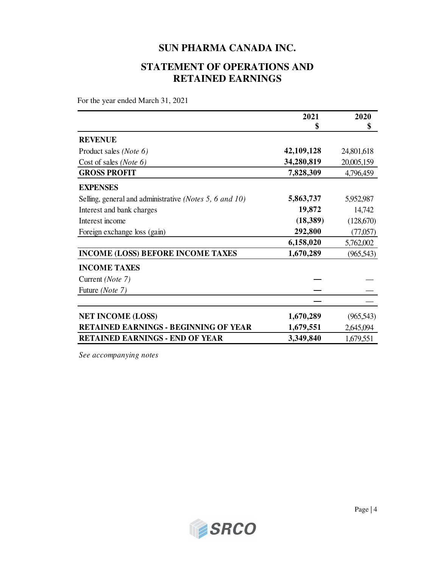# **STATEMENT OF OPERATIONS AND RETAINED EARNINGS**

For the year ended March 31, 2021

|                                                         | 2021       | 2020       |
|---------------------------------------------------------|------------|------------|
|                                                         | \$         | \$         |
| <b>REVENUE</b>                                          |            |            |
| Product sales (Note 6)                                  | 42,109,128 | 24,801,618 |
| Cost of sales ( <i>Note</i> $6$ )                       | 34,280,819 | 20,005,159 |
| <b>GROSS PROFIT</b>                                     | 7,828,309  | 4,796,459  |
| <b>EXPENSES</b>                                         |            |            |
| Selling, general and administrative (Notes 5, 6 and 10) | 5,863,737  | 5,952,987  |
| Interest and bank charges                               | 19,872     | 14,742     |
| Interest income                                         | (18, 389)  | (128,670)  |
| Foreign exchange loss (gain)                            | 292,800    | (77,057)   |
|                                                         | 6,158,020  | 5,762,002  |
| <b>INCOME (LOSS) BEFORE INCOME TAXES</b>                | 1,670,289  | (965, 543) |
| <b>INCOME TAXES</b>                                     |            |            |
| Current (Note 7)                                        |            |            |
| Future (Note 7)                                         |            |            |
|                                                         |            |            |
| <b>NET INCOME (LOSS)</b>                                | 1,670,289  | (965,543)  |
| <b>RETAINED EARNINGS - BEGINNING OF YEAR</b>            | 1,679,551  | 2,645,094  |
| <b>RETAINED EARNINGS - END OF YEAR</b>                  | 3,349,840  | 1,679,551  |

*See accompanying notes*

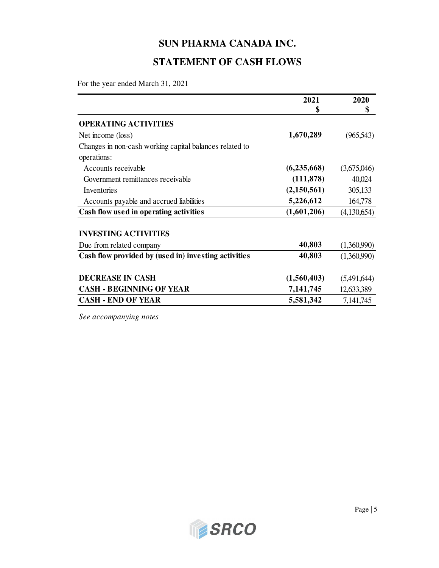# **STATEMENT OF CASH FLOWS**

For the year ended March 31, 2021

|                                                         | 2021<br>\$    | 2020<br>\$  |
|---------------------------------------------------------|---------------|-------------|
| <b>OPERATING ACTIVITIES</b>                             |               |             |
| Net income (loss)                                       | 1,670,289     | (965,543)   |
| Changes in non-cash working capital balances related to |               |             |
| operations:                                             |               |             |
| Accounts receivable                                     | (6, 235, 668) | (3,675,046) |
| Government remittances receivable                       | (111, 878)    | 40,024      |
| Inventories                                             | (2,150,561)   | 305,133     |
| Accounts payable and accrued liabilities                | 5,226,612     | 164,778     |
| Cash flow used in operating activities                  | (1,601,206)   | (4,130,654) |
|                                                         |               |             |
| <b>INVESTING ACTIVITIES</b>                             |               |             |
| Due from related company                                | 40,803        | (1,360,990) |
| Cash flow provided by (used in) investing activities    | 40,803        | (1,360,990) |
|                                                         |               |             |
| <b>DECREASE IN CASH</b>                                 | (1,560,403)   | (5,491,644) |
| <b>CASH - BEGINNING OF YEAR</b>                         | 7,141,745     | 12,633,389  |
| <b>CASH - END OF YEAR</b>                               | 5,581,342     | 7,141,745   |

*See accompanying notes*

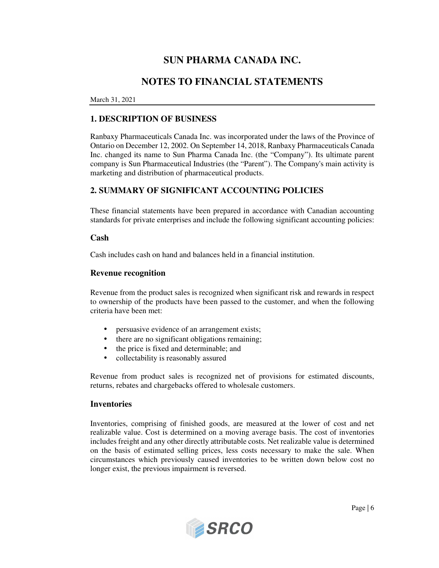# **NOTES TO FINANCIAL STATEMENTS**

#### March 31, 2021

### **1. DESCRIPTION OF BUSINESS**

Ranbaxy Pharmaceuticals Canada Inc. was incorporated under the laws of the Province of Ontario on December 12, 2002. On September 14, 2018, Ranbaxy Pharmaceuticals Canada Inc. changed its name to Sun Pharma Canada Inc. (the "Company"). Its ultimate parent company is Sun Pharmaceutical Industries (the "Parent"). The Company's main activity is marketing and distribution of pharmaceutical products.

### **2. SUMMARY OF SIGNIFICANT ACCOUNTING POLICIES**

These financial statements have been prepared in accordance with Canadian accounting standards for private enterprises and include the following significant accounting policies:

#### **Cash**

Cash includes cash on hand and balances held in a financial institution.

#### **Revenue recognition**

Revenue from the product sales is recognized when significant risk and rewards in respect to ownership of the products have been passed to the customer, and when the following criteria have been met:

- persuasive evidence of an arrangement exists;
- there are no significant obligations remaining;
- the price is fixed and determinable; and
- collectability is reasonably assured

Revenue from product sales is recognized net of provisions for estimated discounts, returns, rebates and chargebacks offered to wholesale customers.

### **Inventories**

Inventories, comprising of finished goods, are measured at the lower of cost and net realizable value. Cost is determined on a moving average basis. The cost of inventories includes freight and any other directly attributable costs. Net realizable value is determined on the basis of estimated selling prices, less costs necessary to make the sale. When circumstances which previously caused inventories to be written down below cost no longer exist, the previous impairment is reversed.

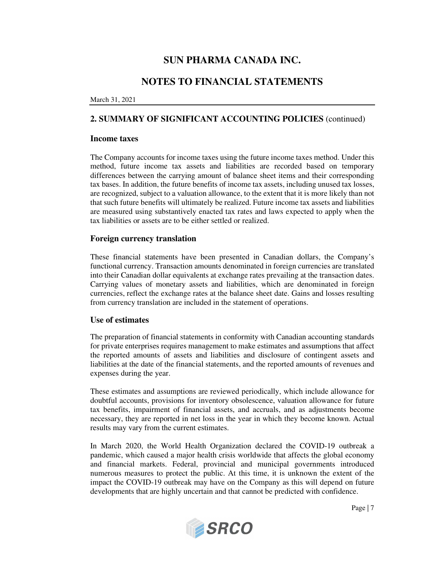# **NOTES TO FINANCIAL STATEMENTS**

March 31, 2021

### **2. SUMMARY OF SIGNIFICANT ACCOUNTING POLICIES** (continued)

#### **Income taxes**

The Company accounts for income taxes using the future income taxes method. Under this method, future income tax assets and liabilities are recorded based on temporary differences between the carrying amount of balance sheet items and their corresponding tax bases. In addition, the future benefits of income tax assets, including unused tax losses, are recognized, subject to a valuation allowance, to the extent that it is more likely than not that such future benefits will ultimately be realized. Future income tax assets and liabilities are measured using substantively enacted tax rates and laws expected to apply when the tax liabilities or assets are to be either settled or realized.

#### **Foreign currency translation**

These financial statements have been presented in Canadian dollars, the Company's functional currency. Transaction amounts denominated in foreign currencies are translated into their Canadian dollar equivalents at exchange rates prevailing at the transaction dates. Carrying values of monetary assets and liabilities, which are denominated in foreign currencies, reflect the exchange rates at the balance sheet date. Gains and losses resulting from currency translation are included in the statement of operations.

#### **Use of estimates**

The preparation of financial statements in conformity with Canadian accounting standards for private enterprises requires management to make estimates and assumptions that affect the reported amounts of assets and liabilities and disclosure of contingent assets and liabilities at the date of the financial statements, and the reported amounts of revenues and expenses during the year.

These estimates and assumptions are reviewed periodically, which include allowance for doubtful accounts, provisions for inventory obsolescence, valuation allowance for future tax benefits, impairment of financial assets, and accruals, and as adjustments become necessary, they are reported in net loss in the year in which they become known. Actual results may vary from the current estimates.

In March 2020, the World Health Organization declared the COVID-19 outbreak a pandemic, which caused a major health crisis worldwide that affects the global economy and financial markets. Federal, provincial and municipal governments introduced numerous measures to protect the public. At this time, it is unknown the extent of the impact the COVID-19 outbreak may have on the Company as this will depend on future developments that are highly uncertain and that cannot be predicted with confidence.

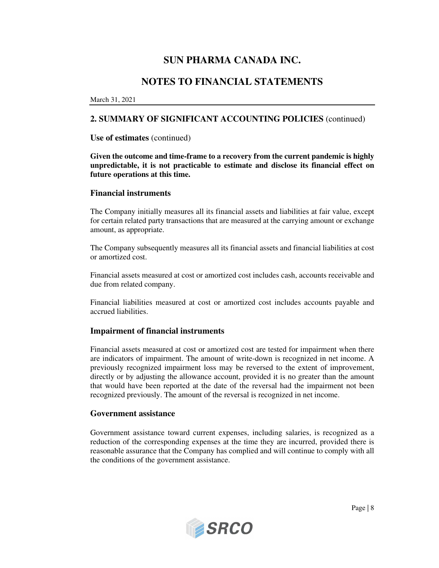# **NOTES TO FINANCIAL STATEMENTS**

#### March 31, 2021

### **2. SUMMARY OF SIGNIFICANT ACCOUNTING POLICIES** (continued)

#### **Use of estimates** (continued)

**Given the outcome and time-frame to a recovery from the current pandemic is highly unpredictable, it is not practicable to estimate and disclose its financial effect on future operations at this time.**

#### **Financial instruments**

The Company initially measures all its financial assets and liabilities at fair value, except for certain related party transactions that are measured at the carrying amount or exchange amount, as appropriate.

The Company subsequently measures all its financial assets and financial liabilities at cost or amortized cost.

Financial assets measured at cost or amortized cost includes cash, accounts receivable and due from related company.

Financial liabilities measured at cost or amortized cost includes accounts payable and accrued liabilities.

#### **Impairment of financial instruments**

Financial assets measured at cost or amortized cost are tested for impairment when there are indicators of impairment. The amount of write-down is recognized in net income. A previously recognized impairment loss may be reversed to the extent of improvement, directly or by adjusting the allowance account, provided it is no greater than the amount that would have been reported at the date of the reversal had the impairment not been recognized previously. The amount of the reversal is recognized in net income.

#### **Government assistance**

Government assistance toward current expenses, including salaries, is recognized as a reduction of the corresponding expenses at the time they are incurred, provided there is reasonable assurance that the Company has complied and will continue to comply with all the conditions of the government assistance.

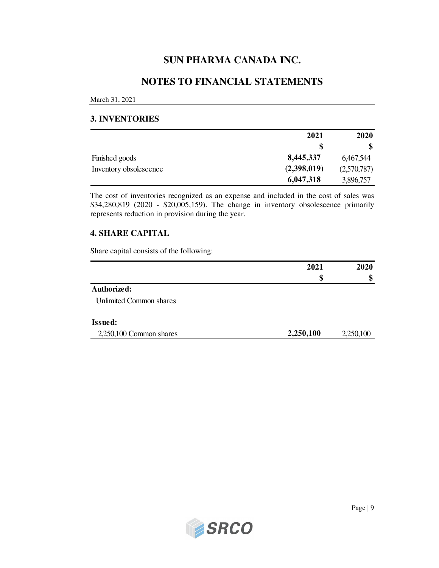# **NOTES TO FINANCIAL STATEMENTS**

March 31, 2021

### **3. INVENTORIES**

|                        | 2021<br>S   | 2020<br>\$  |
|------------------------|-------------|-------------|
|                        |             |             |
| Finished goods         | 8,445,337   | 6,467,544   |
| Inventory obsolescence | (2,398,019) | (2,570,787) |
|                        | 6,047,318   | 3,896,757   |

The cost of inventories recognized as an expense and included in the cost of sales was \$34,280,819 (2020 - \$20,005,159). The change in inventory obsolescence primarily represents reduction in provision during the year.

### **4. SHARE CAPITAL**

Share capital consists of the following:

|                         | 2021      | 2020      |
|-------------------------|-----------|-----------|
|                         | \$        | \$        |
| Authorized:             |           |           |
| Unlimited Common shares |           |           |
| <b>Issued:</b>          |           |           |
| 2,250,100 Common shares | 2,250,100 | 2,250,100 |

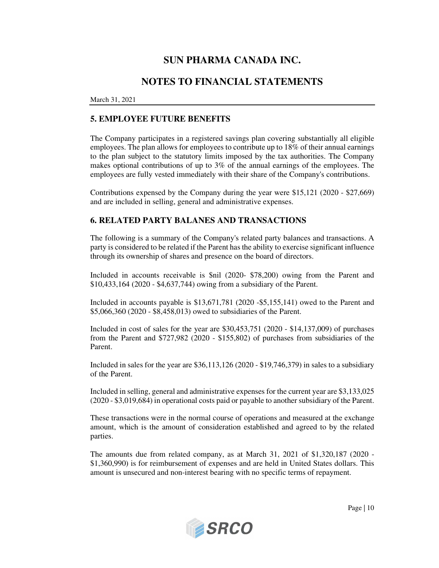# **NOTES TO FINANCIAL STATEMENTS**

#### March 31, 2021

### **5. EMPLOYEE FUTURE BENEFITS**

The Company participates in a registered savings plan covering substantially all eligible employees. The plan allows for employees to contribute up to 18% of their annual earnings to the plan subject to the statutory limits imposed by the tax authorities. The Company makes optional contributions of up to 3% of the annual earnings of the employees. The employees are fully vested immediately with their share of the Company's contributions.

Contributions expensed by the Company during the year were \$15,121 (2020 - \$27,669) and are included in selling, general and administrative expenses.

### **6. RELATED PARTY BALANES AND TRANSACTIONS**

The following is a summary of the Company's related party balances and transactions. A party is considered to be related if the Parent has the ability to exercise significant influence through its ownership of shares and presence on the board of directors.

Included in accounts receivable is \$nil (2020- \$78,200) owing from the Parent and \$10,433,164 (2020 - \$4,637,744) owing from a subsidiary of the Parent.

Included in accounts payable is \$13,671,781 (2020 -\$5,155,141) owed to the Parent and \$5,066,360 (2020 - \$8,458,013) owed to subsidiaries of the Parent.

Included in cost of sales for the year are \$30,453,751 (2020 - \$14,137,009) of purchases from the Parent and \$727,982 (2020 - \$155,802) of purchases from subsidiaries of the Parent.

Included in sales for the year are \$36,113,126 (2020 - \$19,746,379) in sales to a subsidiary of the Parent.

Included in selling, general and administrative expenses for the current year are \$3,133,025 (2020 - \$3,019,684) in operational costs paid or payable to another subsidiary of the Parent.

These transactions were in the normal course of operations and measured at the exchange amount, which is the amount of consideration established and agreed to by the related parties.

The amounts due from related company, as at March 31, 2021 of \$1,320,187 (2020 - \$1,360,990) is for reimbursement of expenses and are held in United States dollars. This amount is unsecured and non-interest bearing with no specific terms of repayment.

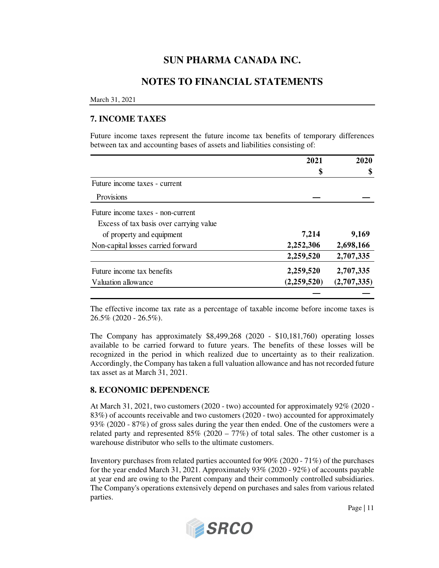### **NOTES TO FINANCIAL STATEMENTS**

#### March 31, 2021

### **7. INCOME TAXES**

Future income taxes represent the future income tax benefits of temporary differences between tax and accounting bases of assets and liabilities consisting of:

|                                         | 2021<br>\$  | 2020<br>\$  |
|-----------------------------------------|-------------|-------------|
|                                         |             |             |
| Future income taxes - current           |             |             |
| Provisions                              |             |             |
| Future income taxes - non-current       |             |             |
| Excess of tax basis over carrying value |             |             |
| of property and equipment               | 7,214       | 9,169       |
| Non-capital losses carried forward      | 2,252,306   | 2,698,166   |
|                                         | 2,259,520   | 2,707,335   |
| Future income tax benefits              | 2,259,520   | 2,707,335   |
| Valuation allowance                     | (2,259,520) | (2,707,335) |
|                                         |             |             |

The effective income tax rate as a percentage of taxable income before income taxes is 26.5% (2020 - 26.5%).

The Company has approximately \$8,499,268 (2020 - \$10,181,760) operating losses available to be carried forward to future years. The benefits of these losses will be recognized in the period in which realized due to uncertainty as to their realization. Accordingly, the Company has taken a full valuation allowance and has not recorded future tax asset as at March 31, 2021.

### **8. ECONOMIC DEPENDENCE**

At March 31, 2021, two customers (2020 - two) accounted for approximately 92% (2020 - 83%) of accounts receivable and two customers (2020 - two) accounted for approximately 93% (2020 - 87%) of gross sales during the year then ended. One of the customers were a related party and represented  $85\%$  (2020 – 77%) of total sales. The other customer is a warehouse distributor who sells to the ultimate customers.

Inventory purchases from related parties accounted for 90% (2020 - 71%) of the purchases for the year ended March 31, 2021. Approximately 93% (2020 - 92%) of accounts payable at year end are owing to the Parent company and their commonly controlled subsidiaries. The Company's operations extensively depend on purchases and sales from various related parties.



Page | 11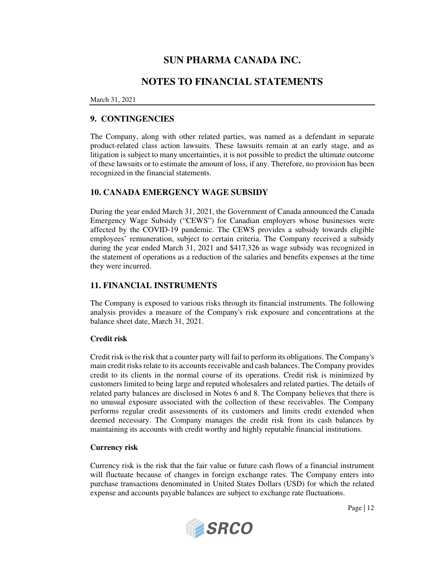# **NOTES TO FINANCIAL STATEMENTS**

#### March 31, 2021

### **9. CONTINGENCIES**

The Company, along with other related parties, was named as a defendant in separate product-related class action lawsuits. These lawsuits remain at an early stage, and as litigation is subject to many uncertainties, it is not possible to predict the ultimate outcome of these lawsuits or to estimate the amount of loss, if any. Therefore, no provision has been recognized in the financial statements.

### **10. CANADA EMERGENCY WAGE SUBSIDY**

During the year ended March 31, 2021, the Government of Canada announced the Canada Emergency Wage Subsidy ("CEWS") for Canadian employers whose businesses were affected by the COVID-19 pandemic. The CEWS provides a subsidy towards eligible employees' remuneration, subject to certain criteria. The Company received a subsidy during the year ended March 31, 2021 and \$417,326 as wage subsidy was recognized in the statement of operations as a reduction of the salaries and benefits expenses at the time they were incurred.

### **11. FINANCIAL INSTRUMENTS**

The Company is exposed to various risks through its financial instruments. The following analysis provides a measure of the Company's risk exposure and concentrations at the balance sheet date, March 31, 2021.

### **Credit risk**

Credit risk is the risk that a counter party will fail to perform its obligations. The Company's main credit risks relate to its accounts receivable and cash balances. The Company provides credit to its clients in the normal course of its operations. Credit risk is minimized by customers limited to being large and reputed wholesalers and related parties. The details of related party balances are disclosed in Notes 6 and 8. The Company believes that there is no unusual exposure associated with the collection of these receivables. The Company performs regular credit assessments of its customers and limits credit extended when deemed necessary. The Company manages the credit risk from its cash balances by maintaining its accounts with credit worthy and highly reputable financial institutions.

### **Currency risk**

Currency risk is the risk that the fair value or future cash flows of a financial instrument will fluctuate because of changes in foreign exchange rates. The Company enters into purchase transactions denominated in United States Dollars (USD) for which the related expense and accounts payable balances are subject to exchange rate fluctuations.